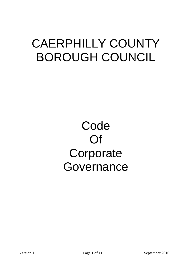# CAERPHILLY COUNTY BOROUGH COUNCIL

# Code Of **Corporate** Governance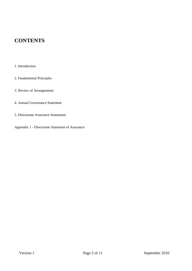# **CONTENTS**

- 1. Introduction
- 2. Fundamental Principles
- 3. Review of Arrangements
- 4. Annual Governance Statement
- 5. Directorate Assurance Statements
- Appendix 1 Directorate Statement of Assurance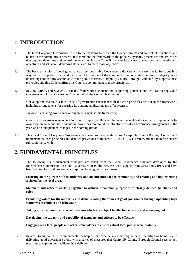## **1. INTRODUCTION**

- 1.1 The term Corporate Governance refers to the 'systems by which the Council directs and controls its functions and relates to the community it serves'. It is therefore the framework of the policies, systems, procedures and structures that together determine and control the way in which the Council manages its business, determines its strategies and objectives and sets about delivering its services to meet those objectives.
- 1.2 The basic principles of good governance as set out in this Code require the Council to carry out its functions in a way that is completely open and inclusive of all sectors of the community; demonstrates the utmost integrity in all its dealings and is fully accountable to the public it serves. Caerphilly County Borough Council fully supports these principles and this Code confirms the Councils commitment to these principles.
- 1.3 In 2007 CIPFA and SOLACE issued a framework document and supporting guidance entitled "Delivering Good Governance in Local Government" under which the Council is urged to:

• develop and maintain a local code of governance consistent with the core principles set out in the framework, including arrangements for ensuring its ongoing application and effectiveness;

• review its existing governance arrangements against this framework;

• prepare a governance statement in order to report publicly on the extent to which the Council complies with its own code on an annual basis including how it has monitored the effectiveness of its governance arrangements in the year, and on any planned changes in the coming period.

1.5 This local Code of Corporate Governance has been produced to show how Caerphilly County Borough Council will implement the core principles and detailed provisions of the new CIPFA SOLACE Framework and therefore ensure full compliance with it.

## **2. FUNDAMENTAL PRINCIPLES**

2.1 The following six fundamental principles are taken from the Good Governance Standard developed by the Independent Commission on Good Governance in Public Services with support from OPM and CIPFA and have been adapted for local government purposes. Good governance means:

**Focusing on the purpose of the authority and on outcomes for the community and creating and implementing a vision for the local area.** 

**Members and officers working together to achieve a common purpose with clearly defined functions and roles** 

**Promoting values for the authority and demonstrating the values of good governance through upholding high standards of conduct and behaviour** 

**Taking informed and transparent decisions which are subject to effective scrutiny and managing risk** 

**Developing the capacity and capability of members and officers to be effective** 

**Engaging with local people and other stakeholders to ensure robust local public accountability** 

2.2 In order to support the six fundamental principles this code sets out the requirements identified as being key to delivering good governance along with a series of measures that Caerphilly County Borough Council sees as key measures to support and facilitate their delivery: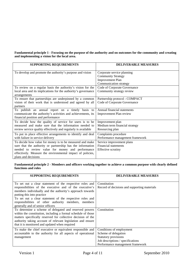**Fundamental principle 1 - Focusing on the purpose of the authority and on outcomes for the community and creating and implementing a vision for the local area.**

| <b>SUPPORTING REQUIREMENTS</b>                                 | <b>DELIVERABLE MEASURES</b>      |
|----------------------------------------------------------------|----------------------------------|
|                                                                |                                  |
| To develop and promote the authority's purpose and vision      | Corporate service planning       |
|                                                                | <b>Community Strategy</b>        |
|                                                                | <b>Improvement Plan</b>          |
|                                                                | Communication strategy           |
| To review on a regular basis the authority's vision for the    | Code of Corporate Governance     |
| local area and its implications for the authority's governance | Community strategy review        |
| arrangements                                                   |                                  |
| To ensure that partnerships are underpinned by a common        | Partnership protocol - COMPACT   |
| vision of their work that is understood and agreed by all      | Code of Corporate Governance     |
| partners                                                       |                                  |
| To publish an annual report on a timely basis to               | Annual financial statements      |
| communicate the authority's activities and achievements, its   | Improvement Plan review          |
| financial position and performance                             |                                  |
| To decide how the quality of service for users is to be        | Improvement plan                 |
| measured and make sure that the information needed to          | Medium term financial strategy   |
| review service quality effectively and regularly is available  | Resourcing plan                  |
| To put in place effective arrangements to identify and deal    | Complaints procedure             |
| with failure in service delivery                               | Performance management framework |
| To decide how value for money is to be measured and make       | Service improvement plans        |
| sure that the authority or partnership has the information     | <b>Financial statements</b>      |
| needed to review value for money and performance               | Effective scrutiny               |
| effectively. Measure the environmental impact of policies,     |                                  |
| plans and decisions                                            |                                  |

**Fundamental principle 2 - Members and officers working together to achieve a common purpose with clearly defined functions and roles** 

| <b>SUPPORTING REQUIREMENTS</b>                                                                                                                                                                                                                                                                                                                                          | <b>DELIVERABLE MEASURES</b>                                                                                                                              |
|-------------------------------------------------------------------------------------------------------------------------------------------------------------------------------------------------------------------------------------------------------------------------------------------------------------------------------------------------------------------------|----------------------------------------------------------------------------------------------------------------------------------------------------------|
| To set out a clear statement of the respective roles and<br>responsibilities of the executive and of the executive's<br>members individually and the authority's approach towards<br>putting this into practice<br>To set out a clear statement of the respective roles and<br>responsibilities of other authority members, members<br>generally and of senior officers | Constitution<br>Record of decisions and supporting materials                                                                                             |
| To determine a scheme of delegated and reserved powers<br>within the constitution, including a formal schedule of those<br>matters specifically reserved for collective decision of the<br>authority taking account of relevant legislation and ensure<br>that it is monitored and updated when required                                                                | Constitution                                                                                                                                             |
| To make the chief executive or equivalent responsible and<br>accountable to the authority for all aspects of operational<br>management                                                                                                                                                                                                                                  | Conditions of employment<br>Scheme of delegation<br><b>Statutory provisions</b><br>Job descriptions / specifications<br>Performance management framework |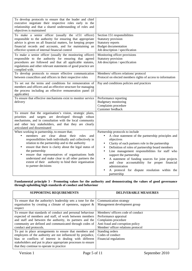| To develop protocols to ensure that the leader and chief<br>executive negotiate their respective roles early in the<br>relationship and that a shared understanding of roles and<br>objectives is maintained                                                                                                                                                                                                                                                                                                            |                                                                                                                                                                                                                                                                                                                                                                                                                                                                                                                          |
|-------------------------------------------------------------------------------------------------------------------------------------------------------------------------------------------------------------------------------------------------------------------------------------------------------------------------------------------------------------------------------------------------------------------------------------------------------------------------------------------------------------------------|--------------------------------------------------------------------------------------------------------------------------------------------------------------------------------------------------------------------------------------------------------------------------------------------------------------------------------------------------------------------------------------------------------------------------------------------------------------------------------------------------------------------------|
| To make a senior officer (usually the s151 officer)<br>responsible to the authority for ensuring that appropriate<br>advice is given on all financial matters, for keeping proper<br>financial records and accounts, and for maintaining an<br>effective system of internal financial control<br>To make a senior officer (usually the monitoring officer)<br>responsible to the authority for ensuring that agreed<br>procedures are followed and that all applicable statutes,                                        | Section 151 responsibilities<br>Statutory provision<br>Statutory reports<br><b>Budget documentation</b><br>Job description / specification<br>Monitoring officer provisions<br>Statutory provision<br>Job description / specification                                                                                                                                                                                                                                                                                    |
| regulations and other relevant statements of good practice are<br>complied with.<br>To develop protocols to ensure effective communication                                                                                                                                                                                                                                                                                                                                                                              | Members/ officers relations/ protocol                                                                                                                                                                                                                                                                                                                                                                                                                                                                                    |
| between councillors and officers in their respective roles                                                                                                                                                                                                                                                                                                                                                                                                                                                              | Protocol on elected members rights of access to information                                                                                                                                                                                                                                                                                                                                                                                                                                                              |
| To set out the terms and conditions for remuneration of<br>members and officers and an effective structure for managing<br>the process including an effective remuneration panel (if<br>applicable)                                                                                                                                                                                                                                                                                                                     | Pay and conditions policies and practices                                                                                                                                                                                                                                                                                                                                                                                                                                                                                |
| To ensure that effective mechanisms exist to monitor service<br>delivery                                                                                                                                                                                                                                                                                                                                                                                                                                                | Performance reporting<br>Budgetary monitoring<br>Complaints procedure<br>Customer feedback                                                                                                                                                                                                                                                                                                                                                                                                                               |
| To ensure that the organisation's vision, strategic plans,<br>priorities and targets are developed through robust<br>mechanisms, and in consultation with the local community<br>and other key stakeholders, and that they are clearly<br>articulated and disseminated                                                                                                                                                                                                                                                  |                                                                                                                                                                                                                                                                                                                                                                                                                                                                                                                          |
| When working in partnership, to ensure that;<br>clear<br>members are<br>about<br>their<br>roles<br>$\bullet$<br>and<br>responsibilities both individually and collectively in<br>relation to the partnership and to the authority<br>ensure that there is clarity about the legal status of<br>$\bullet$<br>the partnership<br>ensure that representatives of organisations both<br>understand and make clear to all other partners the<br>extent of their authority to bind their organisation<br>to partner decisions | Partnership protocols to include<br>A clear statement of the partnership principles and<br>objectives<br>Clarity of each partners role in the partnership<br>$\bullet$<br>Definition of roles of partnership board members<br>$\bullet$<br>Line management responsibilities for staff who<br>$\bullet$<br>support the partnership<br>A statement of funding sources for joint projects<br>and clear accountability for proper financial<br>administration<br>A protocol for dispute resolution within the<br>partnership |

**Fundamental principle 3 - Promoting values for the authority and demonstrating the values of good governance through upholding high standards of conduct and behaviour** 

| <b>SUPPORTING REQUIREMENTS</b>                                                                                                                                                                                                                                                                  | <b>DELIVERABLE MEASURES</b>                                                                                                                                  |
|-------------------------------------------------------------------------------------------------------------------------------------------------------------------------------------------------------------------------------------------------------------------------------------------------|--------------------------------------------------------------------------------------------------------------------------------------------------------------|
| To ensure that the authority's leadership sets a tone for the<br>organisation by creating a climate of openness, support $\&$<br>respect                                                                                                                                                        | Communication strategy<br>Management development group                                                                                                       |
| To ensure that standards of conduct and personal behaviour<br>expected of members and staff, of work between members<br>and staff and between the authority, its partners and the<br>community are defined and communicated through codes of<br>conduct and protocols.                          | Members/ officers code of conduct<br>Performance appraisal<br>Complaints procedure<br>Anti fraud and corruption policy<br>Member/ officer relations protocol |
| To put in place arrangements to ensure that members and<br>employees of the authority are not influenced by prejudice,<br>bias or conflicts of interest in dealing with different<br>stakeholders and put in place appropriate processes to ensure<br>that they continue to operate in practice | Standing orders<br>Codes of conduct<br>Financial regulations                                                                                                 |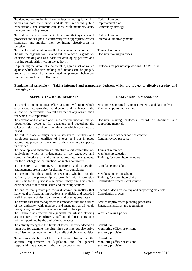| To develop and maintain shared values including leadership<br>values for both the Council and its staff reflecting public<br>expectations, and communicate these with members, staff,<br>the community & partners            | Codes of conduct<br>Improvement plan<br>Community strategy |
|------------------------------------------------------------------------------------------------------------------------------------------------------------------------------------------------------------------------------|------------------------------------------------------------|
| To put in place arrangements to ensure that systems and<br>processes are designed in conformity with appropriate ethical<br>standards, and monitor their continuing effectiveness in<br>practice                             | Codes of conduct<br>Internal audit arrangements            |
| To develop and maintain an effective standards committee                                                                                                                                                                     | Terms of reference                                         |
| To use the organisation's shared values to act as a guide for<br>decision making and as a basis for developing positive and<br>trusting relationships within the authority                                                   | Decision making practices                                  |
| In pursuing the vision of a partnership, agree a set of values<br>against which decision making and actions can be judged.<br>Such values must be demonstrated by partners' behaviour<br>both individually and collectively. | Protocols for partnership working - COMPACT                |

### **Fundamental principle 4 - Taking informed and transparent decisions which are subject to effective scrutiny and managing risk**

| <b>SUPPORTING REQUIREMENTS</b>                                                                                                                                                                                                                   | <b>DELIVERABLE MEASURES</b>                                                                   |
|--------------------------------------------------------------------------------------------------------------------------------------------------------------------------------------------------------------------------------------------------|-----------------------------------------------------------------------------------------------|
| To develop and maintain an effective scrutiny function which<br>encourages constructive challenge and enhances the<br>authority's performance overall and that of any organisation<br>for which it is responsible                                | Scrutiny is supported by robust evidence and data analysis<br>Member support and training     |
| To develop and maintain open and effective mechanisms for<br>documenting evidence for decisions and recording the<br>criteria, rationale and considerations on which decisions are<br>based                                                      | Decision making protocols, record of decisions<br>and<br>supporting materials                 |
| To put in place arrangements to safeguard members and<br>employees against conflicts of interest and put in place<br>appropriate processes to ensure that they continue to operate<br>in practice                                                | Members and officers code of conduct<br>Regular review processes                              |
| To develop and maintain an effective audit committee (or<br>equivalent) which is independent of the executive and<br>scrutiny functions or make other appropriate arrangements<br>for the discharge of the functions of such a committee         | Terms of reference<br>Membership selection<br>Training for committee members                  |
| To ensure that effective, transparent and accessible<br>arrangements are in place for dealing with complaints                                                                                                                                    | Complaints procedure                                                                          |
| To ensure that those making decisions whether for the<br>authority or the partnership are provided with information<br>that is fit for the purpose – relevant, timely and gives clear<br>explanations of technical issues and their implications | Members induction scheme<br>Training for committee chairs<br>Consultation process/ cmt review |
| To ensure that proper professional advice on matters that<br>have legal or financial implications is available and recorded<br>well in advance of decision making and used appropriately                                                         | Record of decision making and supporting materials<br><b>Consultation process</b>             |
| To ensure that risk management is embedded into the culture<br>of the authority, with members and managers at all levels<br>recognising that risk management is part of their job                                                                | Service improvement planning processes<br>Financial standards and regulations                 |
| To Ensure that effective arrangements for whistle blowing<br>are in place to which officers, staff and all those contracting<br>with or appointed by the authority have access                                                                   | Whistleblowing policy                                                                         |
| To actively recognise the limits of lawful activity placed on<br>them by, for example, the ultra vires doctrine but also strive<br>to utilise their powers to the full benefit of their communities                                              | Constitution<br>Monitoring officer provisions<br>Statutory provision                          |
| To recognise the limits of lawful action and observe both the<br>specific requirements of legislation and the general<br>responsibilities placed on authorities by public law                                                                    | Constitution<br>Monitoring officer provisions<br>Statutory provision                          |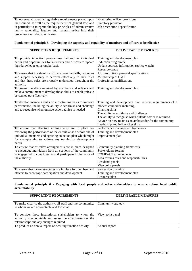To observe all specific legislative requirements placed upon the Council, as well as the requirements of general law, and in particular to integrate the key principles of administrative law – rationality, legality and natural justice into their procedures and decision making

Monitoring officer provisions Statutory provision Job description / specification

#### **Fundamental principle 5 - Developing the capacity and capability of members and officers to be effective**

| <b>SUPPORTING REQUIREMENTS</b>                                                                                                                                                                                                                          | <b>DELIVERABLE MEASURES</b>                                                                                                                                                                                                                                                                                         |
|---------------------------------------------------------------------------------------------------------------------------------------------------------------------------------------------------------------------------------------------------------|---------------------------------------------------------------------------------------------------------------------------------------------------------------------------------------------------------------------------------------------------------------------------------------------------------------------|
| To provide induction programmes tailored to individual<br>needs and opportunities for members and officers to update<br>their knowledge on a regular basis                                                                                              | Training and development plan<br>Induction programme<br>Update courses/information (policy watch)<br>Resource centre                                                                                                                                                                                                |
| To ensure that the statutory officers have the skills, resources<br>and support necessary to perform effectively in their roles<br>and that these roles are properly understood throughout the<br>authority                                             | Job description/ personal specifications<br>Membership of CMT<br>Professional qualifications                                                                                                                                                                                                                        |
| To assess the skills required by members and officers and<br>make a commitment to develop those skills to enable roles to<br>be carried out effectively                                                                                                 | Training and development plan                                                                                                                                                                                                                                                                                       |
| To develop members skills on a continuing basis to improve<br>performance, including the ability to scrutinise and challenge<br>and to recognise when outside expert advice is needed                                                                   | Training and development plan reflects requirements of a<br>modern councillor including,<br>Chairing skills,<br>The ability to scrutinise and challenge<br>The ability to recognise when outside advice is required<br>Advice on how to act as an ambassador for the community<br>Leadership and influencing skills |
| To ensure that effective arrangements are in place for<br>reviewing the performance of the executive as a whole and of<br>individual members and agreeing an action plan which might<br>for example aim to address any training or development<br>needs | Performance management framework<br>Training and development plan<br>Improvement plan                                                                                                                                                                                                                               |
| To ensure that effective arrangements are in place designed<br>to encourage individuals from all sections of the community<br>to engage with, contribute to and participate in the work of<br>the authority                                             | Community planning framework<br><b>Stakeholders forums</b><br><b>COMPACT</b> arrangements<br>Area forums roles and responsibilities<br>Residents panels<br>Viewpoint panels                                                                                                                                         |
| To ensure that career structures are in place for members and<br>officers to encourage participation and development                                                                                                                                    | Succession planning<br>Training and development plan<br>Resource plan                                                                                                                                                                                                                                               |

**Fundamental principle 6 - Engaging with local people and other stakeholders to ensure robust local public accountability** 

| <b>SUPPORTING REQUIREMENTS</b>                                                                                                                                     | <b>DELIVERABLE MEASURES</b> |
|--------------------------------------------------------------------------------------------------------------------------------------------------------------------|-----------------------------|
|                                                                                                                                                                    |                             |
| To make clear to the authority, all staff and the community,   Community strategy<br>to whom we are accountable and for what                                       |                             |
| To consider those institutional stakeholders to whom the<br>authority is accountable and assess the effectiveness of the<br>relationships and any changes required | View point panel            |
| To produce an annual report on scrutiny function activity                                                                                                          | Annual report               |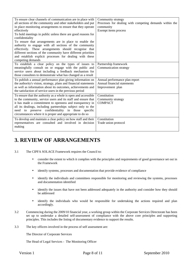| To ensure clear channels of communication are in place with<br>all sections of the community and other stakeholders and put<br>in place monitoring arrangements to ensure that they operate<br>effectively<br>To hold meetings in public unless there are good reasons for<br>confidentiality<br>To ensure that arrangements are in place to enable the<br>authority to engage with all sections of the community<br>effectively. These arrangements should recognise that<br>different sections of the community have different priorities<br>and establish explicit processes for dealing with these<br>competing demands | Community strategy<br>Processes for dealing with competing demands within the<br>community<br>Exempt items process |
|-----------------------------------------------------------------------------------------------------------------------------------------------------------------------------------------------------------------------------------------------------------------------------------------------------------------------------------------------------------------------------------------------------------------------------------------------------------------------------------------------------------------------------------------------------------------------------------------------------------------------------|--------------------------------------------------------------------------------------------------------------------|
| To establish a clear policy on the types of issues to<br>meaningfully consult on or engage with the public and<br>service users about including a feedback mechanism for<br>those consultees to demonstrate what has changed as a result                                                                                                                                                                                                                                                                                                                                                                                    | Partnership framework<br>Communication strategy                                                                    |
| To publish a annual performance plan giving information on<br>the authority's vision, strategy, plans and financial statements<br>as well as information about its outcomes, achievements and<br>the satisfaction of service users in the previous period                                                                                                                                                                                                                                                                                                                                                                   | Annual performance plan report<br>Annual financial statements<br>Improvement plan                                  |
| To ensure that the authority as a whole is open and accessible<br>to the community, service users and its staff and ensure that<br>it has made a commitment to openness and transparency in<br>all its dealings, including partnerships subject only to the<br>need to preserve confidentiality in those specific<br>circumstances where it is proper and appropriate to do so                                                                                                                                                                                                                                              | Constitution<br>Community strategy<br><b>COMPACT</b>                                                               |
| To develop and maintain a clear policy on how staff and their<br>representatives are consulted and involved in decision<br>making                                                                                                                                                                                                                                                                                                                                                                                                                                                                                           | Constitution<br>Trade union protocol                                                                               |

# **3. REVIEW OF ARRANGEMENTS**

3.1 The CIPFA SOLACE Framework requires the Council to:

- consider the extent to which it complies with the principles and requirements of good governance set out in the Framework
- identify systems, processes and documentation that provide evidence of compliance
- identify the individuals and committees responsible for monitoring and reviewing the systems, processes and documentation identified
- identify the issues that have not been addressed adequately in the authority and consider how they should be addressed
- identify the individuals who would be responsible for undertaking the actions required and plan accordingly.
- 3.2 Commencing during the 2009/10 financial year, a working group within the Corporate Services Directorate has been set up to undertake a detailed self-assessment of compliance with the above core principles and supporting principles. This includes the listing of documentary evidence to support the results.
- 3.3 The key officers involved in the process of self assessment are:

The Director of Corporate Services

The Head of Legal Services - The Monitoring Officer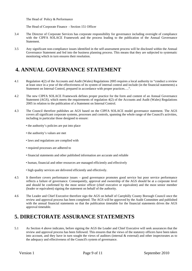The Head of Policy & Performance

The Head of Corporate Finance - Section 151 Officer

- 3.4 The Director of Corporate Services has corporate responsibility for governance including oversight of compliance with the CIPFA SOLACE Framework and the process leading to the publication of the Annual Governance Statement.
- 3.5 Any significant non-compliance issues identified in the self-assessment process will be disclosed within the Annual Governance Statement and fed into the business planning process. This means that they are subjected to systematic monitoring which in turn ensures their resolution.

## **4. ANNUAL GOVERNANCE STATEMENT**

- 4.1 Regulation 4(2) of the Accounts and Audit (Wales) Regulations 2005 requires a local authority to "conduct a review at least once in a year of the effectiveness of its system of internal control and include (in the financial statements) a Statement on Internal Control, prepared in accordance with proper practices….".
- 4.2 The new CIPFA SOLACE Framework defines proper practice for the form and content of an Annual Governance Statement (AGS), which meets the requirements of regulation 4(2) of the Accounts and Audit (Wales) Regulations 2005 in relation to the publication of a Statement on Internal Control.
- 4.3 The Council therefore publishes an AGS based on the CIPFA SOLACE model governance statement. The AGS covers all significant corporate systems, processes and controls, spanning the whole range of the Council's activities, including in particular those designed to ensure:
	- the authority's policies are put into place
	- the authority's values are met
	- laws and regulations are complied with
	- required processes are adhered to
	- financial statements and other published information are accurate and reliable
	- human, financial and other resources are managed efficiently and effectively
	- high quality services are delivered efficiently and effectively.
- 4.5 It therefore covers performance issues good governance promotes good service but poor service performance reflects a failure of governance. Consequently, approval and ownership of the AGS should be at a corporate level and should be confirmed by the most senior officer (chief executive or equivalent) and the most senior member (leader or equivalent) signing the statement on behalf of the authority.
- 4.6 The Leader and Chief Executive therefore sign the AGS on behalf of Caerphilly County Borough Council once the review and approval process has been completed. The AGS will be approved by the Audit Committee and published with the annual financial statements so that the publication timetable for the financial statements drives the AGS approval timetable.

## **5. DIRECTORATE ASSURANCE STATEMENTS**

5.1 As Section 4 above indicates, before signing the AGS the Leader and Chief Executive will seek assurances that the review and approval process has been followed. This ensures that the views of the statutory officers have been taken into account, and they have in turn sought the views of auditors (internal & external) and other inspectorates as to the adequacy and effectiveness of the Council's system of governance.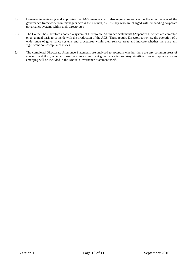- 5.2 However in reviewing and approving the AGS members will also require assurances on the effectiveness of the governance framework from managers across the Council, as it is they who are charged with embedding corporate governance systems within their directorates.
- 5.3 The Council has therefore adopted a system of Directorate Assurance Statements (Appendix 1) which are compiled on an annual basis to coincide with the production of the AGS. These require Directors to review the operation of a wide range of governance systems and procedures within their service areas and indicate whether there are any significant non-compliance issues.
- 5.4 The completed Directorate Assurance Statements are analysed to ascertain whether there are any common areas of concern, and if so, whether these constitute significant governance issues. Any significant non-compliance issues emerging will be included in the Annual Governance Statement itself.